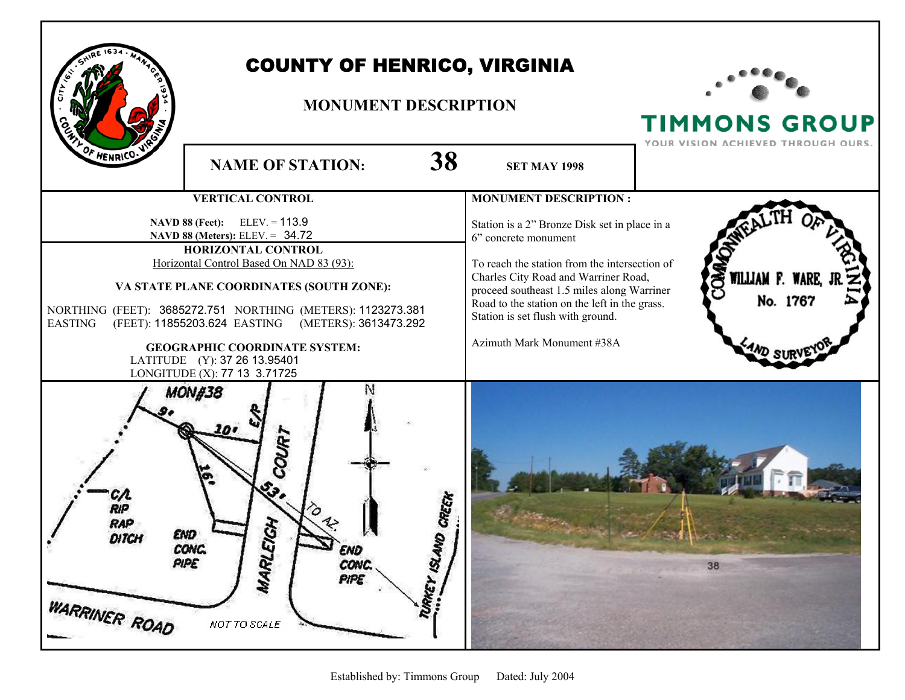